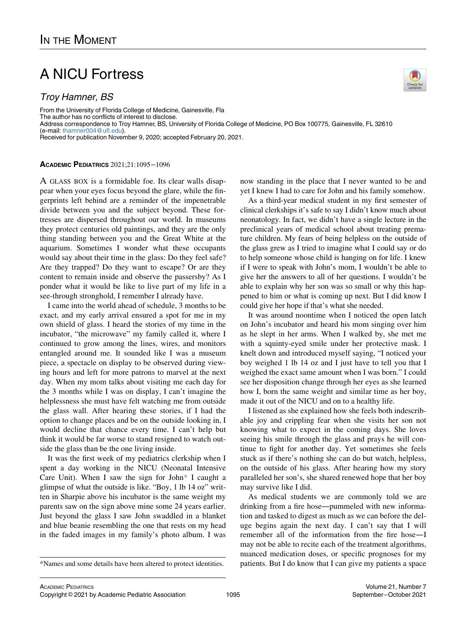## A NICU Fortress

## Troy Hamner, BS

From the University of Florida College of Medicine, Gainesville, Fla The author has no conflicts of interest to disclose. Address correspondence to Troy Hamner, BS, University of Florida College of Medicine, PO Box 100775, Gainesville, FL 32610 (e-mail: [thamner004@ufl.edu](mailto:thamner004@ufl.edu)). Received for publication November 9, 2020; accepted February 20, 2021.

## ACADEMIC PEDIATRICS 2021;21:1095−1096

A GLASS BOX is a formidable foe. Its clear walls disappear when your eyes focus beyond the glare, while the fingerprints left behind are a reminder of the impenetrable divide between you and the subject beyond. These fortresses are dispersed throughout our world. In museums they protect centuries old paintings, and they are the only thing standing between you and the Great White at the aquarium. Sometimes I wonder what these occupants would say about their time in the glass: Do they feel safe? Are they trapped? Do they want to escape? Or are they content to remain inside and observe the passersby? As I ponder what it would be like to live part of my life in a see-through stronghold, I remember I already have.

I came into the world ahead of schedule, 3 months to be exact, and my early arrival ensured a spot for me in my own shield of glass. I heard the stories of my time in the incubator, "the microwave" my family called it, where I continued to grow among the lines, wires, and monitors entangled around me. It sounded like I was a museum piece, a spectacle on display to be observed during viewing hours and left for more patrons to marvel at the next day. When my mom talks about visiting me each day for the 3 months while I was on display, I can't imagine the helplessness she must have felt watching me from outside the glass wall. After hearing these stories, if I had the option to change places and be on the outside looking in, I would decline that chance every time. I can't help but think it would be far worse to stand resigned to watch outside the glass than be the one living inside.

It was the first week of my pediatrics clerkship when I spent a day working in the NICU (Neonatal Intensive Care Unit). When I saw the sign for John[\\*](#page-0-0) I caught a glimpse of what the outside is like. "Boy, 1 lb 14 oz" written in Sharpie above his incubator is the same weight my parents saw on the sign above mine some 24 years earlier. Just beyond the glass I saw John swaddled in a blanket and blue beanie resembling the one that rests on my head in the faded images in my family's photo album. I was



As a third-year medical student in my first semester of clinical clerkships it's safe to say I didn't know much about neonatology. In fact, we didn't have a single lecture in the preclinical years of medical school about treating premature children. My fears of being helpless on the outside of the glass grew as I tried to imagine what I could say or do to help someone whose child is hanging on for life. I knew if I were to speak with John's mom, I wouldn't be able to give her the answers to all of her questions. I wouldn't be able to explain why her son was so small or why this happened to him or what is coming up next. But I did know I could give her hope if that's what she needed.

It was around noontime when I noticed the open latch on John's incubator and heard his mom singing over him as he slept in her arms. When I walked by, she met me with a squinty-eyed smile under her protective mask. I knelt down and introduced myself saying, "I noticed your boy weighed 1 lb 14 oz and I just have to tell you that I weighed the exact same amount when I was born." I could see her disposition change through her eyes as she learned how I, born the same weight and similar time as her boy, made it out of the NICU and on to a healthy life.

I listened as she explained how she feels both indescribable joy and crippling fear when she visits her son not knowing what to expect in the coming days. She loves seeing his smile through the glass and prays he will continue to fight for another day. Yet sometimes she feels stuck as if there's nothing she can do but watch, helpless, on the outside of his glass. After hearing how my story paralleled her son's, she shared renewed hope that her boy may survive like I did.

As medical students we are commonly told we are drinking from a fire hose—pummeled with new information and tasked to digest as much as we can before the deluge begins again the next day. I can't say that I will remember all of the information from the fire hose—I may not be able to recite each of the treatment algorithms, nuanced medication doses, or specific prognoses for my \*Names and some details have been altered to protect identities. patients. But I do know that I can give my patients a space



<span id="page-0-0"></span>